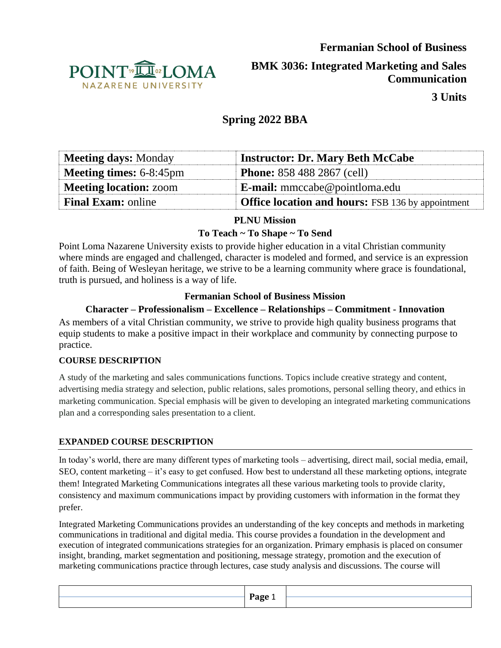

**BMK 3036: Integrated Marketing and Sales Communication**

**3 Units**

# **Spring 2022 BBA**

| <b>Meeting days: Monday</b>    | <b>Instructor: Dr. Mary Beth McCabe</b>                  |
|--------------------------------|----------------------------------------------------------|
| <b>Meeting times: 6-8:45pm</b> | <b>Phone:</b> 858 488 2867 (cell)                        |
| <b>Meeting location: zoom</b>  | <b>E-mail:</b> mmccabe@pointloma.edu                     |
| <b>Final Exam:</b> online      | <b>Office location and hours:</b> FSB 136 by appointment |

# **PLNU Mission**

# **To Teach ~ To Shape ~ To Send**

Point Loma Nazarene University exists to provide higher education in a vital Christian community where minds are engaged and challenged, character is modeled and formed, and service is an expression of faith. Being of Wesleyan heritage, we strive to be a learning community where grace is foundational, truth is pursued, and holiness is a way of life.

# **Fermanian School of Business Mission**

# **Character – Professionalism – Excellence – Relationships – Commitment - Innovation**

As members of a vital Christian community, we strive to provide high quality business programs that equip students to make a positive impact in their workplace and community by connecting purpose to practice.

### **COURSE DESCRIPTION**

A study of the marketing and sales communications functions. Topics include creative strategy and content, advertising media strategy and selection, public relations, sales promotions, personal selling theory, and ethics in marketing communication. Special emphasis will be given to developing an integrated marketing communications plan and a corresponding sales presentation to a client.

### **EXPANDED COURSE DESCRIPTION**

In today's world, there are many different types of marketing tools – advertising, direct mail, social media, email, SEO, content marketing – it's easy to get confused. How best to understand all these marketing options, integrate them! Integrated Marketing Communications integrates all these various marketing tools to provide clarity, consistency and maximum communications impact by providing customers with information in the format they prefer.

Integrated Marketing Communications provides an understanding of the key concepts and methods in marketing communications in traditional and digital media. This course provides a foundation in the development and execution of integrated communications strategies for an organization. Primary emphasis is placed on consumer insight, branding, market segmentation and positioning, message strategy, promotion and the execution of marketing communications practice through lectures, case study analysis and discussions. The course will

| Page                                     |  |
|------------------------------------------|--|
| $\overline{\phantom{0}}$<br>--- -<br>___ |  |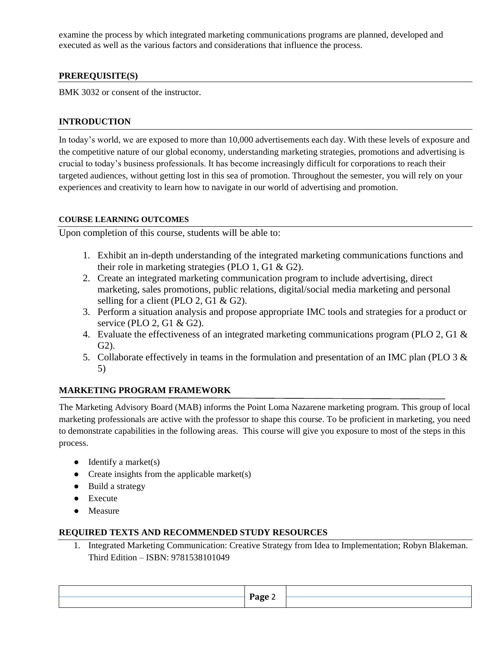examine the process by which integrated marketing communications programs are planned, developed and executed as well as the various factors and considerations that influence the process.

### **PREREQUISITE(S)**

BMK 3032 or consent of the instructor.

## **INTRODUCTION**

In today's world, we are exposed to more than 10,000 advertisements each day. With these levels of exposure and the competitive nature of our global economy, understanding marketing strategies, promotions and advertising is crucial to today's business professionals. It has become increasingly difficult for corporations to reach their targeted audiences, without getting lost in this sea of promotion. Throughout the semester, you will rely on your experiences and creativity to learn how to navigate in our world of advertising and promotion.

### **COURSE LEARNING OUTCOMES**

Upon completion of this course, students will be able to:

- 1. Exhibit an in-depth understanding of the integrated marketing communications functions and their role in marketing strategies (PLO 1, G1 & G2).
- 2. Create an integrated marketing communication program to include advertising, direct marketing, sales promotions, public relations, digital/social media marketing and personal selling for a client (PLO 2, G1 & G2).
- 3. Perform a situation analysis and propose appropriate IMC tools and strategies for a product or service (PLO 2, G1 & G2).
- 4. Evaluate the effectiveness of an integrated marketing communications program (PLO 2, G1 & G2).
- 5. Collaborate effectively in teams in the formulation and presentation of an IMC plan (PLO 3 & 5)

### **MARKETING PROGRAM FRAMEWORK**

The Marketing Advisory Board (MAB) informs the Point Loma Nazarene marketing program. This group of local marketing professionals are active with the professor to shape this course. To be proficient in marketing, you need to demonstrate capabilities in the following areas. This course will give you exposure to most of the steps in this process.

- $\bullet$  Identify a market(s)
- Create insights from the applicable market $(s)$
- Build a strategy
- Execute
- Measure

#### **REQUIRED TEXTS AND RECOMMENDED STUDY RESOURCES**

1. Integrated Marketing Communication: Creative Strategy from Idea to Implementation; Robyn Blakeman. Third Edition – ISBN: 9781538101049

| $P$ age |  |
|---------|--|
|         |  |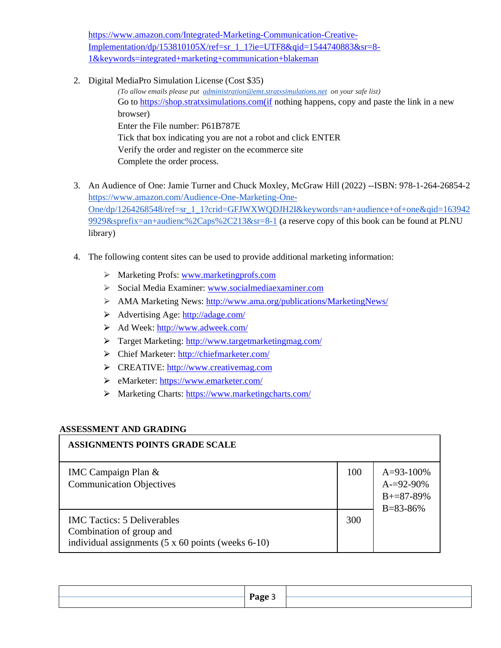[https://www.amazon.com/Integrated-Marketing-Communication-Creative-](https://www.amazon.com/Integrated-Marketing-Communication-Creative-Implementation/dp/153810105X/ref=sr_1_1?ie=UTF8&qid=1544740883&sr=8-1&keywords=integrated+marketing+communication+blakeman)[Implementation/dp/153810105X/ref=sr\\_1\\_1?ie=UTF8&qid=1544740883&sr=8-](https://www.amazon.com/Integrated-Marketing-Communication-Creative-Implementation/dp/153810105X/ref=sr_1_1?ie=UTF8&qid=1544740883&sr=8-1&keywords=integrated+marketing+communication+blakeman) [1&keywords=integrated+marketing+communication+blakeman](https://www.amazon.com/Integrated-Marketing-Communication-Creative-Implementation/dp/153810105X/ref=sr_1_1?ie=UTF8&qid=1544740883&sr=8-1&keywords=integrated+marketing+communication+blakeman)

2. Digital MediaPro Simulation License (Cost \$35)

*(To allow emails please put [administration@emt.stratxsimulations.net](mailto:administration@emt.stratxsimulations.net) on your safe list)* Go to [https://shop.stratxsimulations.com\(if](about:blank) nothing happens, copy and paste the link in a new browser) Enter the File number: P61B787E Tick that box indicating you are not a robot and click ENTER Verify the order and register on the ecommerce site Complete the order process.

- 3. An Audience of One: Jamie Turner and Chuck Moxley, McGraw Hill (2022) --ISBN: 978-1-264-26854-2 [https://www.amazon.com/Audience-One-Marketing-One-](https://www.amazon.com/Audience-One-Marketing-One-One/dp/1264268548/ref=sr_1_1?crid=GFJWXWQDJH2I&keywords=an+audience+of+one&qid=1639429929&sprefix=an+audienc%2Caps%2C213&sr=8-1)[One/dp/1264268548/ref=sr\\_1\\_1?crid=GFJWXWQDJH2I&keywords=an+audience+of+one&qid=163942](https://www.amazon.com/Audience-One-Marketing-One-One/dp/1264268548/ref=sr_1_1?crid=GFJWXWQDJH2I&keywords=an+audience+of+one&qid=1639429929&sprefix=an+audienc%2Caps%2C213&sr=8-1) [9929&sprefix=an+audienc%2Caps%2C213&sr=8-1](https://www.amazon.com/Audience-One-Marketing-One-One/dp/1264268548/ref=sr_1_1?crid=GFJWXWQDJH2I&keywords=an+audience+of+one&qid=1639429929&sprefix=an+audienc%2Caps%2C213&sr=8-1) (a reserve copy of this book can be found at PLNU library)
- 4. The following content sites can be used to provide additional marketing information:
	- ⮚ Marketing Profs[: www.marketingprofs.com](http://www.marketingprofs.com/)
	- ⮚ Social Media Examiner[: www.socialmediaexaminer.com](http://www.socialmediaexaminer.com/)
	- ⮚ AMA Marketing News:<http://www.ama.org/publications/MarketingNews/>
	- ⮚ Advertising Age:<http://adage.com/>
	- ⮚ Ad Week[: http://www.adweek.com/](http://www.adweek.com/)
	- ⮚ Target Marketing:<http://www.targetmarketingmag.com/>
	- ⮚ Chief Marketer:<http://chiefmarketer.com/>
	- ⮚ CREATIVE: [http://www.creativemag.com](http://www.creativemag.com/)
	- ⮚ eMarketer:<https://www.emarketer.com/>
	- > Marketing Charts:<https://www.marketingcharts.com/>

### **ASSESSMENT AND GRADING**

| <b>ASSIGNMENTS POINTS GRADE SCALE</b>                                                                                               |     |                                                                       |
|-------------------------------------------------------------------------------------------------------------------------------------|-----|-----------------------------------------------------------------------|
| IMC Campaign Plan &<br><b>Communication Objectives</b>                                                                              | 100 | $A=93-100\%$<br>$A = 92 - 90\%$<br>$B + = 87 - 89%$<br>$B = 83 - 86%$ |
| <b>IMC</b> Tactics: 5 Deliverables<br>Combination of group and<br>individual assignments $(5 \times 60 \text{ points}$ (weeks 6-10) | 300 |                                                                       |

| Page |  |
|------|--|
|      |  |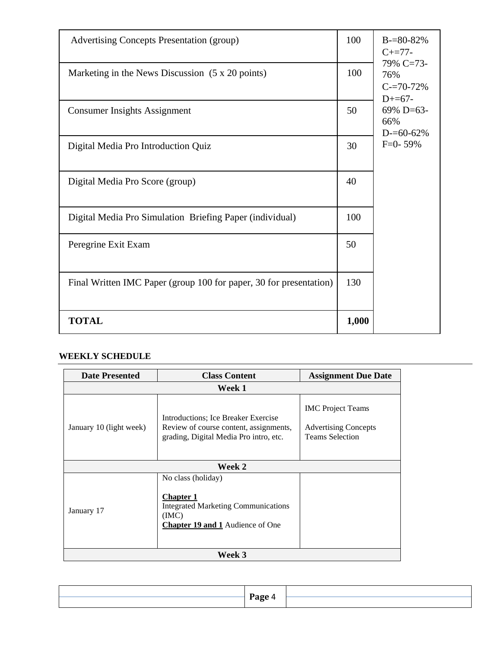| <b>Advertising Concepts Presentation (group)</b>                   | 100   | $B = 80 - 82\%$<br>$C+=77-$                    |
|--------------------------------------------------------------------|-------|------------------------------------------------|
| Marketing in the News Discussion (5 x 20 points)                   | 100   | 79% C=73-<br>76%<br>$C = 70 - 72%$<br>$D+=67-$ |
| <b>Consumer Insights Assignment</b>                                | 50    | 69% D=63-<br>66%<br>$D = 60 - 62\%$            |
| Digital Media Pro Introduction Quiz                                | 30    | $F=0-59%$                                      |
| Digital Media Pro Score (group)                                    | 40    |                                                |
| Digital Media Pro Simulation Briefing Paper (individual)           | 100   |                                                |
| Peregrine Exit Exam                                                | 50    |                                                |
| Final Written IMC Paper (group 100 for paper, 30 for presentation) | 130   |                                                |
| <b>TOTAL</b>                                                       | 1,000 |                                                |

# **WEEKLY SCHEDULE**

| <b>Date Presented</b>   | <b>Class Content</b>                                                                                                                    | <b>Assignment Due Date</b>                                                        |  |  |  |
|-------------------------|-----------------------------------------------------------------------------------------------------------------------------------------|-----------------------------------------------------------------------------------|--|--|--|
|                         | Week 1                                                                                                                                  |                                                                                   |  |  |  |
| January 10 (light week) | Introductions; Ice Breaker Exercise<br>Review of course content, assignments,<br>grading, Digital Media Pro intro, etc.                 | <b>IMC</b> Project Teams<br><b>Advertising Concepts</b><br><b>Teams Selection</b> |  |  |  |
|                         | Week 2                                                                                                                                  |                                                                                   |  |  |  |
| January 17              | No class (holiday)<br><b>Chapter 1</b><br><b>Integrated Marketing Communications</b><br>(MC)<br><b>Chapter 19 and 1</b> Audience of One |                                                                                   |  |  |  |
| <b>Week 3</b>           |                                                                                                                                         |                                                                                   |  |  |  |

| -      |  |
|--------|--|
| Page 4 |  |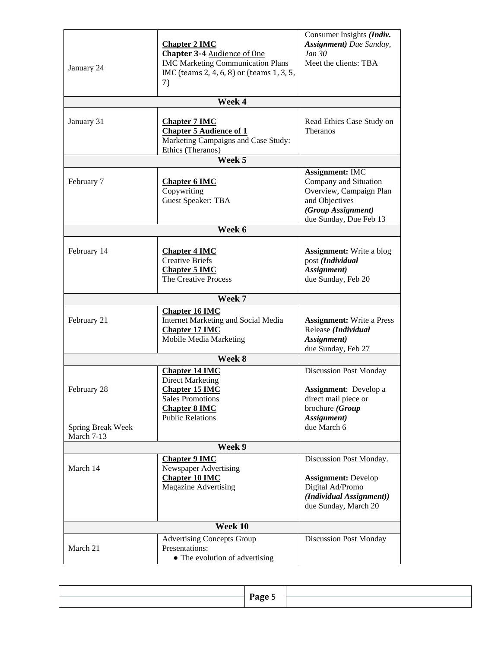| January 24                                     | <b>Chapter 2 IMC</b><br><b>Chapter 3-4 Audience of One</b><br><b>IMC Marketing Communication Plans</b><br>IMC (teams 2, 4, 6, 8) or (teams 1, 3, 5,<br>7) | Consumer Insights (Indiv.<br>Assignment) Due Sunday,<br>Jan 30<br>Meet the clients: TBA                                                      |  |
|------------------------------------------------|-----------------------------------------------------------------------------------------------------------------------------------------------------------|----------------------------------------------------------------------------------------------------------------------------------------------|--|
|                                                | Week 4                                                                                                                                                    |                                                                                                                                              |  |
| January 31                                     | <b>Chapter 7 IMC</b><br><b>Chapter 5 Audience of 1</b><br>Marketing Campaigns and Case Study:<br>Ethics (Theranos)                                        | Read Ethics Case Study on<br>Theranos                                                                                                        |  |
|                                                | Week 5                                                                                                                                                    |                                                                                                                                              |  |
| February 7                                     | <b>Chapter 6 IMC</b><br>Copywriting<br><b>Guest Speaker: TBA</b>                                                                                          | <b>Assignment: IMC</b><br>Company and Situation<br>Overview, Campaign Plan<br>and Objectives<br>(Group Assignment)<br>due Sunday, Due Feb 13 |  |
|                                                | Week 6                                                                                                                                                    |                                                                                                                                              |  |
| February 14                                    | <b>Chapter 4 IMC</b><br><b>Creative Briefs</b><br><b>Chapter 5 IMC</b><br>The Creative Process                                                            | <b>Assignment:</b> Write a blog<br>post (Individual<br>Assignment)<br>due Sunday, Feb 20                                                     |  |
|                                                | Week 7                                                                                                                                                    |                                                                                                                                              |  |
| February 21                                    | <b>Chapter 16 IMC</b><br>Internet Marketing and Social Media<br><b>Chapter 17 IMC</b><br>Mobile Media Marketing                                           | <b>Assignment:</b> Write a Press<br>Release (Individual<br>Assignment)<br>due Sunday, Feb 27                                                 |  |
|                                                | Week 8                                                                                                                                                    |                                                                                                                                              |  |
| February 28<br>Spring Break Week<br>March 7-13 | <b>Chapter 14 IMC</b><br><b>Direct Marketing</b><br><b>Chapter 15 IMC</b><br><b>Sales Promotions</b><br><b>Chapter 8 IMC</b><br><b>Public Relations</b>   | <b>Discussion Post Monday</b><br><b>Assignment:</b> Develop a<br>direct mail piece or<br>brochure (Group<br>Assignment)<br>due March 6       |  |
|                                                | Week 9                                                                                                                                                    |                                                                                                                                              |  |
| March 14                                       | <b>Chapter 9 IMC</b><br>Newspaper Advertising<br><b>Chapter 10 IMC</b><br><b>Magazine Advertising</b>                                                     | Discussion Post Monday.<br><b>Assignment: Develop</b><br>Digital Ad/Promo<br>(Individual Assignment))<br>due Sunday, March 20                |  |
|                                                | Week 10                                                                                                                                                   |                                                                                                                                              |  |
| March 21                                       | <b>Advertising Concepts Group</b><br>Presentations:<br>• The evolution of advertising                                                                     | <b>Discussion Post Monday</b>                                                                                                                |  |

| $P$ age |  |
|---------|--|
|         |  |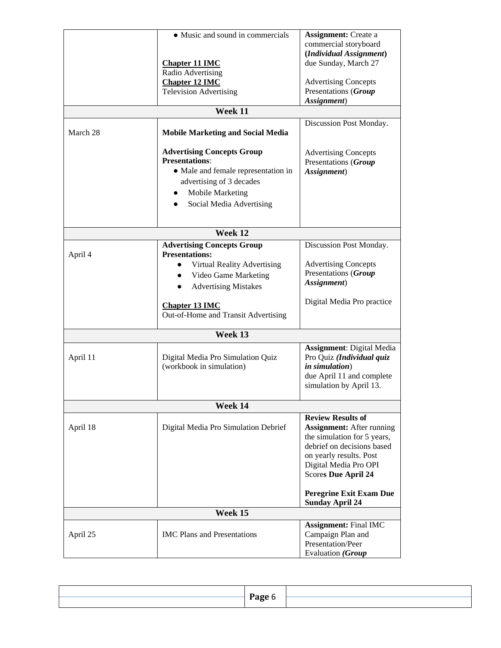|          | • Music and sound in commercials<br><b>Chapter 11 IMC</b><br>Radio Advertising<br><b>Chapter 12 IMC</b><br><b>Television Advertising</b><br>Week 11                                                              | <b>Assignment:</b> Create a<br>commercial storyboard<br>(Individual Assignment)<br>due Sunday, March 27<br><b>Advertising Concepts</b><br>Presentations (Group<br>Assignment)<br>Discussion Post Monday.    |
|----------|------------------------------------------------------------------------------------------------------------------------------------------------------------------------------------------------------------------|-------------------------------------------------------------------------------------------------------------------------------------------------------------------------------------------------------------|
| March 28 | <b>Mobile Marketing and Social Media</b>                                                                                                                                                                         |                                                                                                                                                                                                             |
|          | <b>Advertising Concepts Group</b><br><b>Presentations:</b><br>• Male and female representation in<br>advertising of 3 decades<br>Mobile Marketing<br>Social Media Advertising                                    | <b>Advertising Concepts</b><br>Presentations (Group<br>Assignment)                                                                                                                                          |
|          | Week 12                                                                                                                                                                                                          |                                                                                                                                                                                                             |
| April 4  | <b>Advertising Concepts Group</b><br><b>Presentations:</b><br>Virtual Reality Advertising<br>Video Game Marketing<br><b>Advertising Mistakes</b><br><b>Chapter 13 IMC</b><br>Out-of-Home and Transit Advertising | Discussion Post Monday.<br><b>Advertising Concepts</b><br>Presentations (Group<br>Assignment)<br>Digital Media Pro practice                                                                                 |
|          | Week 13                                                                                                                                                                                                          |                                                                                                                                                                                                             |
| April 11 | Digital Media Pro Simulation Quiz<br>(workbook in simulation)                                                                                                                                                    | <b>Assignment: Digital Media</b><br>Pro Quiz (Individual quiz<br>in simulation)<br>due April 11 and complete<br>simulation by April 13.                                                                     |
|          | Week 14                                                                                                                                                                                                          |                                                                                                                                                                                                             |
| April 18 | Digital Media Pro Simulation Debrief                                                                                                                                                                             | <b>Review Results of</b><br><b>Assignment:</b> After running<br>the simulation for 5 years,<br>debrief on decisions based<br>on yearly results. Post<br>Digital Media Pro OPI<br><b>Scores Due April 24</b> |
|          |                                                                                                                                                                                                                  | <b>Peregrine Exit Exam Due</b><br><b>Sunday April 24</b>                                                                                                                                                    |
|          | Week 15                                                                                                                                                                                                          |                                                                                                                                                                                                             |
| April 25 | <b>IMC</b> Plans and Presentations                                                                                                                                                                               | <b>Assignment: Final IMC</b><br>Campaign Plan and<br>Presentation/Peer<br>Evaluation (Group                                                                                                                 |

| <b>Page</b> b |  |
|---------------|--|
|               |  |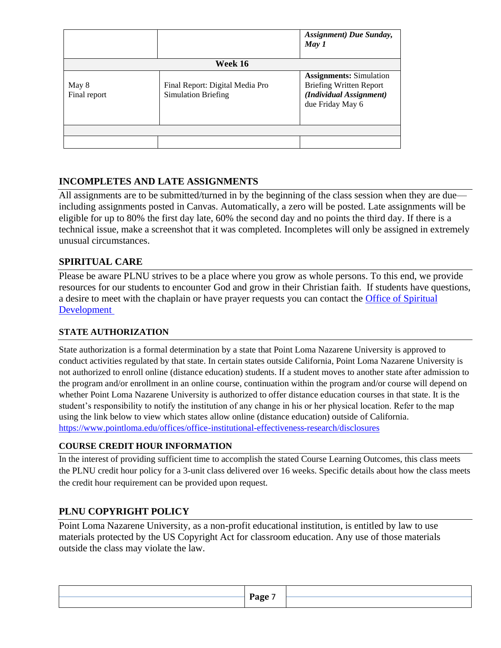|                       |                                                               | <b>Assignment</b> ) Due Sunday,<br>May 1                                                                        |  |
|-----------------------|---------------------------------------------------------------|-----------------------------------------------------------------------------------------------------------------|--|
| Week 16               |                                                               |                                                                                                                 |  |
| May 8<br>Final report | Final Report: Digital Media Pro<br><b>Simulation Briefing</b> | <b>Assignments:</b> Simulation<br><b>Briefing Written Report</b><br>(Individual Assignment)<br>due Friday May 6 |  |
|                       |                                                               |                                                                                                                 |  |

# **INCOMPLETES AND LATE ASSIGNMENTS**

All assignments are to be submitted/turned in by the beginning of the class session when they are due including assignments posted in Canvas. Automatically, a zero will be posted. Late assignments will be eligible for up to 80% the first day late, 60% the second day and no points the third day. If there is a technical issue, make a screenshot that it was completed. Incompletes will only be assigned in extremely unusual circumstances.

# **SPIRITUAL CARE**

Please be aware PLNU strives to be a place where you grow as whole persons. To this end, we provide resources for our students to encounter God and grow in their Christian faith. If students have questions, a desire to meet with the chaplain or have prayer requests you can contact the [Office of Spiritual](https://www.pointloma.edu/offices/spiritual-development)  [Development](https://www.pointloma.edu/offices/spiritual-development)

### **STATE AUTHORIZATION**

State authorization is a formal determination by a state that Point Loma Nazarene University is approved to conduct activities regulated by that state. In certain states outside California, Point Loma Nazarene University is not authorized to enroll online (distance education) students. If a student moves to another state after admission to the program and/or enrollment in an online course, continuation within the program and/or course will depend on whether Point Loma Nazarene University is authorized to offer distance education courses in that state. It is the student's responsibility to notify the institution of any change in his or her physical location. Refer to the map using the link below to view which states allow online (distance education) outside of California. <https://www.pointloma.edu/offices/office-institutional-effectiveness-research/disclosures>

### **COURSE CREDIT HOUR INFORMATION**

In the interest of providing sufficient time to accomplish the stated Course Learning Outcomes, this class meets the PLNU credit hour policy for a 3-unit class delivered over 16 weeks. Specific details about how the class meets the credit hour requirement can be provided upon request.

# **PLNU COPYRIGHT POLICY**

Point Loma Nazarene University, as a non-profit educational institution, is entitled by law to use materials protected by the US Copyright Act for classroom education. Any use of those materials outside the class may violate the law.

|  | Раое |  |
|--|------|--|
|  |      |  |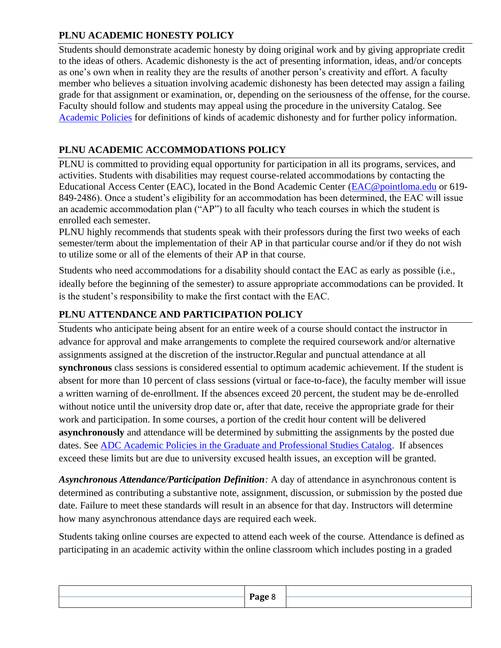# **PLNU ACADEMIC HONESTY POLICY**

Students should demonstrate academic honesty by doing original work and by giving appropriate credit to the ideas of others. Academic dishonesty is the act of presenting information, ideas, and/or concepts as one's own when in reality they are the results of another person's creativity and effort. A faculty member who believes a situation involving academic dishonesty has been detected may assign a failing grade for that assignment or examination, or, depending on the seriousness of the offense, for the course. Faculty should follow and students may appeal using the procedure in the university Catalog. See [Academic Policies](https://catalog.pointloma.edu/content.php?catoid=52&navoid=2919#Academic_Honesty) for definitions of kinds of academic dishonesty and for further policy information.

# **PLNU ACADEMIC ACCOMMODATIONS POLICY**

PLNU is committed to providing equal opportunity for participation in all its programs, services, and activities. Students with disabilities may request course-related accommodations by contacting the Educational Access Center (EAC), located in the Bond Academic Center [\(EAC@pointloma.edu](mailto:EAC@pointloma.edu) or 619- 849-2486). Once a student's eligibility for an accommodation has been determined, the EAC will issue an academic accommodation plan ("AP") to all faculty who teach courses in which the student is enrolled each semester.

PLNU highly recommends that students speak with their professors during the first two weeks of each semester/term about the implementation of their AP in that particular course and/or if they do not wish to utilize some or all of the elements of their AP in that course.

Students who need accommodations for a disability should contact the EAC as early as possible (i.e., ideally before the beginning of the semester) to assure appropriate accommodations can be provided. It is the student's responsibility to make the first contact with the EAC.

# **PLNU ATTENDANCE AND PARTICIPATION POLICY**

Students who anticipate being absent for an entire week of a course should contact the instructor in advance for approval and make arrangements to complete the required coursework and/or alternative assignments assigned at the discretion of the instructor.Regular and punctual attendance at all **synchronous** class sessions is considered essential to optimum academic achievement. If the student is absent for more than 10 percent of class sessions (virtual or face-to-face), the faculty member will issue a written warning of de-enrollment. If the absences exceed 20 percent, the student may be de-enrolled without notice until the university drop date or, after that date, receive the appropriate grade for their work and participation. In some courses, a portion of the credit hour content will be delivered **asynchronously** and attendance will be determined by submitting the assignments by the posted due dates. See **ADC** Academic Policies in the Graduate and Professional Studies Catalog. If absences exceed these limits but are due to university excused health issues, an exception will be granted.

*Asynchronous Attendance/Participation Definition:* A day of attendance in asynchronous content is determined as contributing a substantive note, assignment, discussion, or submission by the posted due date. Failure to meet these standards will result in an absence for that day. Instructors will determine how many asynchronous attendance days are required each week.

Students taking online courses are expected to attend each week of the course. Attendance is defined as participating in an academic activity within the online classroom which includes posting in a graded

|  | oor<br>$\sim$ |  |
|--|---------------|--|
|  |               |  |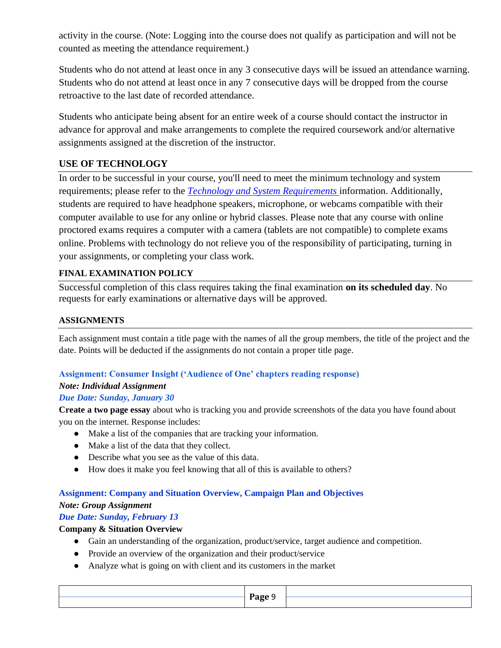activity in the course. (Note: Logging into the course does not qualify as participation and will not be counted as meeting the attendance requirement.)

Students who do not attend at least once in any 3 consecutive days will be issued an attendance warning. Students who do not attend at least once in any 7 consecutive days will be dropped from the course retroactive to the last date of recorded attendance.

Students who anticipate being absent for an entire week of a course should contact the instructor in advance for approval and make arrangements to complete the required coursework and/or alternative assignments assigned at the discretion of the instructor.

# **USE OF TECHNOLOGY**

In order to be successful in your course, you'll need to meet the minimum technology and system requirements; please refer to the *[Technology and System Requirements](https://help.pointloma.edu/TDClient/1808/Portal/KB/ArticleDet?ID=108349)* information. Additionally, students are required to have headphone speakers, microphone, or webcams compatible with their computer available to use for any online or hybrid classes. Please note that any course with online proctored exams requires a computer with a camera (tablets are not compatible) to complete exams online. Problems with technology do not relieve you of the responsibility of participating, turning in your assignments, or completing your class work.

# **FINAL EXAMINATION POLICY**

Successful completion of this class requires taking the final examination **on its scheduled day**. No requests for early examinations or alternative days will be approved.

## **ASSIGNMENTS**

Each assignment must contain a title page with the names of all the group members, the title of the project and the date. Points will be deducted if the assignments do not contain a proper title page.

# **Assignment: Consumer Insight ('Audience of One' chapters reading response)**

# *Note: Individual Assignment*

# *Due Date: Sunday, January 30*

**Create a two page essay** about who is tracking you and provide screenshots of the data you have found about you on the internet. Response includes:

- Make a list of the companies that are tracking your information.
- Make a list of the data that they collect.
- Describe what you see as the value of this data.
- How does it make you feel knowing that all of this is available to others?

### **Assignment: Company and Situation Overview, Campaign Plan and Objectives**

### *Note: Group Assignment*

# *Due Date: Sunday, February 13*

### **Company & Situation Overview**

- Gain an understanding of the organization, product/service, target audience and competition.
- Provide an overview of the organization and their product/service
- Analyze what is going on with client and its customers in the market

|  | $P$ age<br>$\sim$ $\sim$ $\sim$ $\sim$ |  |
|--|----------------------------------------|--|
|  |                                        |  |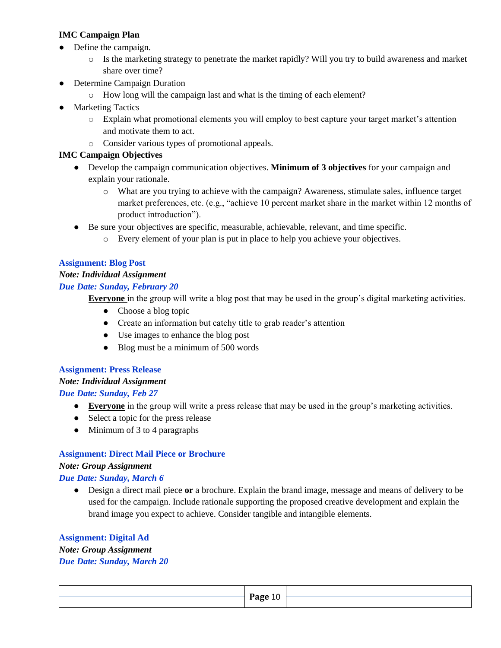### **IMC Campaign Plan**

- Define the campaign.
	- o Is the marketing strategy to penetrate the market rapidly? Will you try to build awareness and market share over time?
- Determine Campaign Duration
	- o How long will the campaign last and what is the timing of each element?
- Marketing Tactics
	- o Explain what promotional elements you will employ to best capture your target market's attention and motivate them to act.
	- o Consider various types of promotional appeals.

### **IMC Campaign Objectives**

- Develop the campaign communication objectives. **Minimum of 3 objectives** for your campaign and explain your rationale.
	- o What are you trying to achieve with the campaign? Awareness, stimulate sales, influence target market preferences, etc. (e.g., "achieve 10 percent market share in the market within 12 months of product introduction").
- Be sure your objectives are specific, measurable, achievable, relevant, and time specific.
	- o Every element of your plan is put in place to help you achieve your objectives.

### **Assignment: Blog Post**

### *Note: Individual Assignment*

### *Due Date: Sunday, February 20*

**Everyone** in the group will write a blog post that may be used in the group's digital marketing activities.

- Choose a blog topic
- Create an information but catchy title to grab reader's attention
- Use images to enhance the blog post
- Blog must be a minimum of 500 words

### **Assignment: Press Release** *Note: Individual Assignment Due Date: Sunday, Feb 27*

- **● Everyone** in the group will write a press release that may be used in the group's marketing activities.
- **●** Select a topic for the press release
- **●** Minimum of 3 to 4 paragraphs

# **Assignment: Direct Mail Piece or Brochure** *Note: Group Assignment*

### *Due Date: Sunday, March 6*

● Design a direct mail piece **or** a brochure. Explain the brand image, message and means of delivery to be used for the campaign. Include rationale supporting the proposed creative development and explain the brand image you expect to achieve. Consider tangible and intangible elements.

#### **Assignment: Digital Ad**

*Note: Group Assignment Due Date: Sunday, March 20*

**Page** 10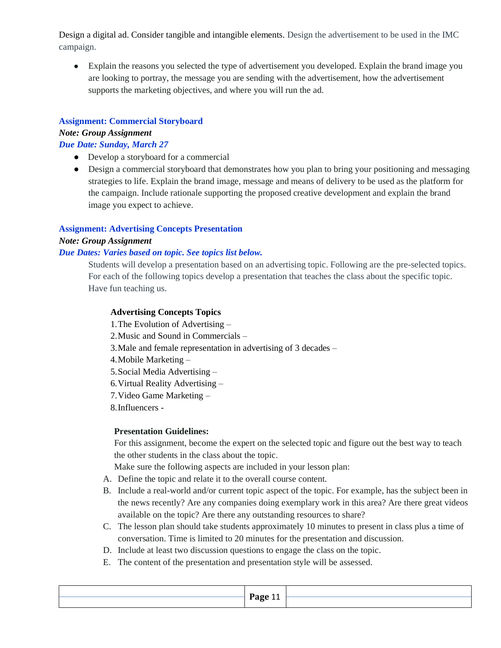Design a digital ad. Consider tangible and intangible elements. Design the advertisement to be used in the IMC campaign.

• Explain the reasons you selected the type of advertisement you developed. Explain the brand image you are looking to portray, the message you are sending with the advertisement, how the advertisement supports the marketing objectives, and where you will run the ad.

### **Assignment: Commercial Storyboard**

*Note: Group Assignment*

*Due Date: Sunday, March 27*

- Develop a storyboard for a commercial
- Design a commercial storyboard that demonstrates how you plan to bring your positioning and messaging strategies to life. Explain the brand image, message and means of delivery to be used as the platform for the campaign. Include rationale supporting the proposed creative development and explain the brand image you expect to achieve.

## **Assignment: Advertising Concepts Presentation**

### *Note: Group Assignment*

### *Due Dates: Varies based on topic. See topics list below.*

Students will develop a presentation based on an advertising topic. Following are the pre-selected topics. For each of the following topics develop a presentation that teaches the class about the specific topic. Have fun teaching us.

### **Advertising Concepts Topics**

1.The Evolution of Advertising – 2.Music and Sound in Commercials – 3.Male and female representation in advertising of 3 decades – 4.Mobile Marketing – 5.Social Media Advertising – 6.Virtual Reality Advertising – 7.Video Game Marketing – 8.Influencers - **Presentation Guidelines:**

For this assignment, become the expert on the selected topic and figure out the best way to teach the other students in the class about the topic.

Make sure the following aspects are included in your lesson plan:

- A. Define the topic and relate it to the overall course content.
- B. Include a real-world and/or current topic aspect of the topic. For example, has the subject been in the news recently? Are any companies doing exemplary work in this area? Are there great videos available on the topic? Are there any outstanding resources to share?
- C. The lesson plan should take students approximately 10 minutes to present in class plus a time of conversation. Time is limited to 20 minutes for the presentation and discussion.
- D. Include at least two discussion questions to engage the class on the topic.
- E. The content of the presentation and presentation style will be assessed.

| Раσе<br>. .                   |  |
|-------------------------------|--|
| .<br>$\overline{\phantom{0}}$ |  |